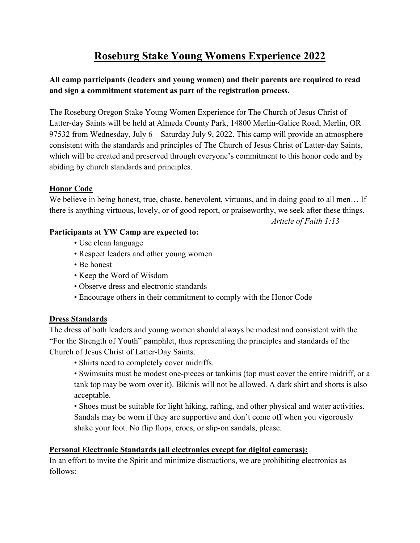# **Roseburg Stake Young Womens Experience 2022**

# **All camp participants (leaders and young women) and their parents are required to read and sign a commitment statement as part of the registration process.**

The Roseburg Oregon Stake Young Women Experience for The Church of Jesus Christ of Latter-day Saints will be held at Almeda County Park, 14800 Merlin-Galice Road, Merlin, OR 97532 from Wednesday, July 6 – Saturday July 9, 2022. This camp will provide an atmosphere consistent with the standards and principles of The Church of Jesus Christ of Latter-day Saints, which will be created and preserved through everyone's commitment to this honor code and by abiding by church standards and principles.

## **Honor Code**

We believe in being honest, true, chaste, benevolent, virtuous, and in doing good to all men... If there is anything virtuous, lovely, or of good report, or praiseworthy, we seek after these things.

*Article of Faith 1:13*

### **Participants at YW Camp are expected to:**

- Use clean language
- Respect leaders and other young women
- Be honest
- Keep the Word of Wisdom
- Observe dress and electronic standards
- Encourage others in their commitment to comply with the Honor Code

## **Dress Standards**

The dress of both leaders and young women should always be modest and consistent with the "For the Strength of Youth" pamphlet, thus representing the principles and standards of the Church of Jesus Christ of Latter-Day Saints.

• Shirts need to completely cover midriffs.

• Swimsuits must be modest one-pieces or tankinis (top must cover the entire midriff, or a tank top may be worn over it). Bikinis will not be allowed. A dark shirt and shorts is also acceptable.

• Shoes must be suitable for light hiking, rafting, and other physical and water activities. Sandals may be worn if they are supportive and don't come off when you vigorously shake your foot. No flip flops, crocs, or slip-on sandals, please.

## **Personal Electronic Standards (all electronics except for digital cameras):**

In an effort to invite the Spirit and minimize distractions, we are prohibiting electronics as follows: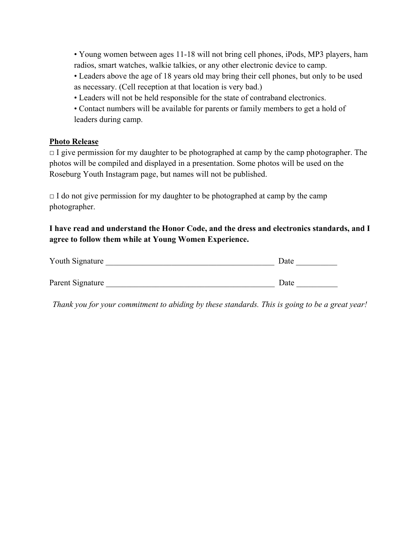• Young women between ages 11-18 will not bring cell phones, iPods, MP3 players, ham radios, smart watches, walkie talkies, or any other electronic device to camp.

• Leaders above the age of 18 years old may bring their cell phones, but only to be used as necessary. (Cell reception at that location is very bad.)

• Leaders will not be held responsible for the state of contraband electronics.

• Contact numbers will be available for parents or family members to get a hold of leaders during camp.

### **Photo Release**

 $\Box$  I give permission for my daughter to be photographed at camp by the camp photographer. The photos will be compiled and displayed in a presentation. Some photos will be used on the Roseburg Youth Instagram page, but names will not be published.

 $\Box$  I do not give permission for my daughter to be photographed at camp by the camp photographer.

**I have read and understand the Honor Code, and the dress and electronics standards, and I agree to follow them while at Young Women Experience.**

| Youth Signature  | Date |
|------------------|------|
|                  |      |
| Parent Signature | Date |

*Thank you for your commitment to abiding by these standards. This is going to be a great year!*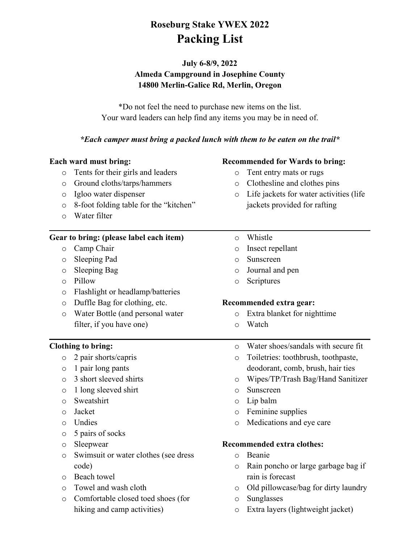# **Roseburg Stake YWEX 2022 Packing List**

# **July 6-8/9, 2022 Almeda Campground in Josephine County 14800 Merlin-Galice Rd, Merlin, Oregon**

\*Do not feel the need to purchase new items on the list. Your ward leaders can help find any items you may be in need of.

### *\*Each camper must bring a packed lunch with them to be eaten on the trail\**

### **Each ward must bring:**

- o Tents for their girls and leaders
- o Ground cloths/tarps/hammers
- o Igloo water dispenser
- o 8-foot folding table for the "kitchen"
- o Water filter

### **Gear to bring: (please label each item)**

- o Camp Chair
- o Sleeping Pad
- o Sleeping Bag
- o Pillow
- o Flashlight or headlamp/batteries
- o Duffle Bag for clothing, etc.
- o Water Bottle (and personal water filter, if you have one)

### **Clothing to bring:**

- o 2 pair shorts/capris
- o 1 pair long pants
- o 3 short sleeved shirts
- o 1 long sleeved shirt
- o Sweatshirt
- o Jacket
- o Undies
- o 5 pairs of socks
- o Sleepwear
- o Swimsuit or water clothes (see dress code)
- o Beach towel
- o Towel and wash cloth
- o Comfortable closed toed shoes (for hiking and camp activities)

### **Recommended for Wards to bring:**

- o Tent entry mats or rugs
- o Clothesline and clothes pins
- o Life jackets for water activities (life jackets provided for rafting
- o Whistle
- o Insect repellant
- o Sunscreen
- o Journal and pen
- o Scriptures

### **Recommended extra gear:**

- o Extra blanket for nighttime
- o Watch
- o Water shoes/sandals with secure fit
- o Toiletries: toothbrush, toothpaste, deodorant, comb, brush, hair ties
- o Wipes/TP/Trash Bag/Hand Sanitizer
- o Sunscreen
- o Lip balm
- o Feminine supplies
- o Medications and eye care

### **Recommended extra clothes:**

- o Beanie
- o Rain poncho or large garbage bag if rain is forecast
- o Old pillowcase/bag for dirty laundry
- o Sunglasses
- o Extra layers (lightweight jacket)